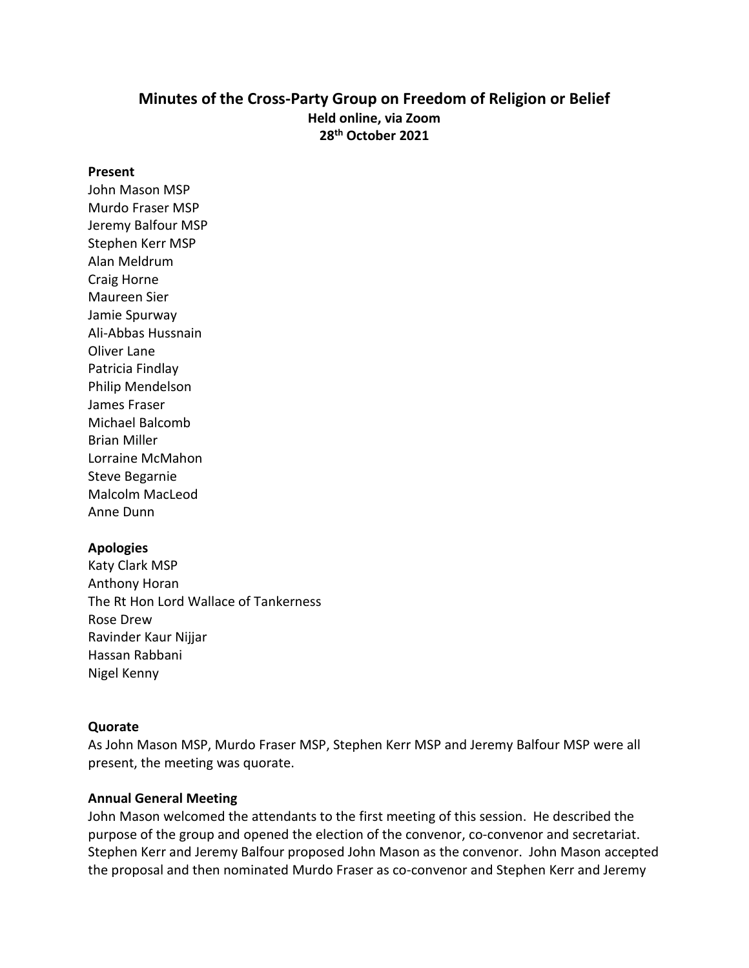### **Minutes of the Cross-Party Group on Freedom of Religion or Belief Held online, via Zoom 28th October 2021**

#### **Present**

John Mason MSP Murdo Fraser MSP Jeremy Balfour MSP Stephen Kerr MSP Alan Meldrum Craig Horne Maureen Sier Jamie Spurway Ali-Abbas Hussnain Oliver Lane Patricia Findlay Philip Mendelson James Fraser Michael Balcomb Brian Miller Lorraine McMahon Steve Begarnie Malcolm MacLeod Anne Dunn

#### **Apologies**

Katy Clark MSP Anthony Horan The Rt Hon Lord Wallace of Tankerness Rose Drew Ravinder Kaur Nijjar Hassan Rabbani Nigel Kenny

#### **Quorate**

As John Mason MSP, Murdo Fraser MSP, Stephen Kerr MSP and Jeremy Balfour MSP were all present, the meeting was quorate.

#### **Annual General Meeting**

John Mason welcomed the attendants to the first meeting of this session. He described the purpose of the group and opened the election of the convenor, co-convenor and secretariat. Stephen Kerr and Jeremy Balfour proposed John Mason as the convenor. John Mason accepted the proposal and then nominated Murdo Fraser as co-convenor and Stephen Kerr and Jeremy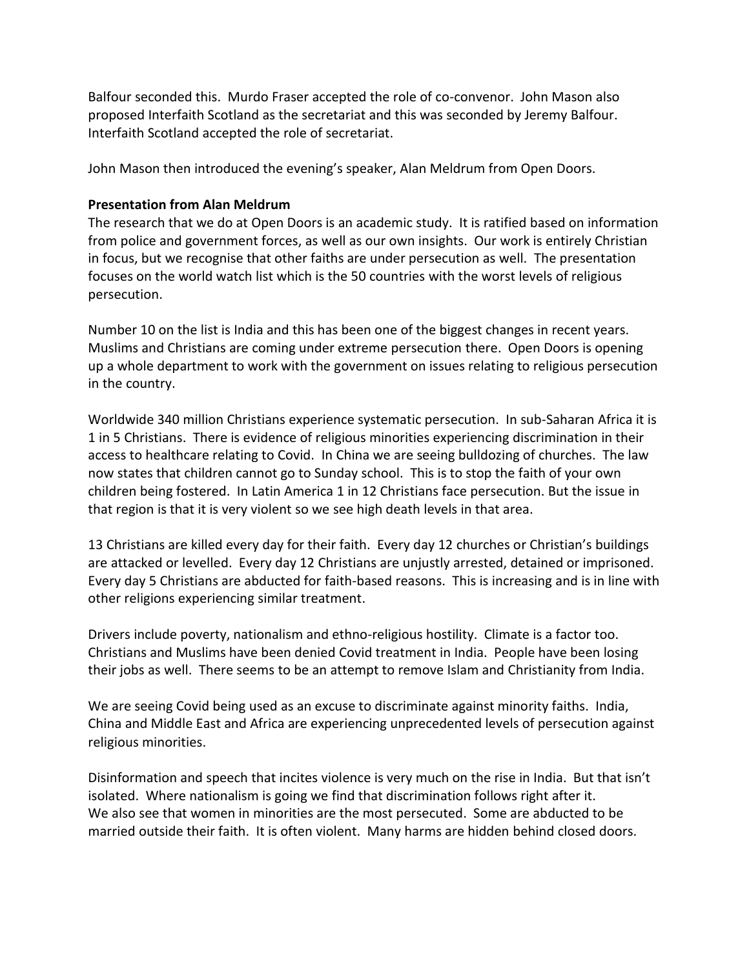Balfour seconded this. Murdo Fraser accepted the role of co-convenor. John Mason also proposed Interfaith Scotland as the secretariat and this was seconded by Jeremy Balfour. Interfaith Scotland accepted the role of secretariat.

John Mason then introduced the evening's speaker, Alan Meldrum from Open Doors.

### **Presentation from Alan Meldrum**

The research that we do at Open Doors is an academic study. It is ratified based on information from police and government forces, as well as our own insights. Our work is entirely Christian in focus, but we recognise that other faiths are under persecution as well. The presentation focuses on the world watch list which is the 50 countries with the worst levels of religious persecution.

Number 10 on the list is India and this has been one of the biggest changes in recent years. Muslims and Christians are coming under extreme persecution there. Open Doors is opening up a whole department to work with the government on issues relating to religious persecution in the country.

Worldwide 340 million Christians experience systematic persecution. In sub-Saharan Africa it is 1 in 5 Christians. There is evidence of religious minorities experiencing discrimination in their access to healthcare relating to Covid. In China we are seeing bulldozing of churches. The law now states that children cannot go to Sunday school. This is to stop the faith of your own children being fostered. In Latin America 1 in 12 Christians face persecution. But the issue in that region is that it is very violent so we see high death levels in that area.

13 Christians are killed every day for their faith. Every day 12 churches or Christian's buildings are attacked or levelled. Every day 12 Christians are unjustly arrested, detained or imprisoned. Every day 5 Christians are abducted for faith-based reasons. This is increasing and is in line with other religions experiencing similar treatment.

Drivers include poverty, nationalism and ethno-religious hostility. Climate is a factor too. Christians and Muslims have been denied Covid treatment in India. People have been losing their jobs as well. There seems to be an attempt to remove Islam and Christianity from India.

We are seeing Covid being used as an excuse to discriminate against minority faiths. India, China and Middle East and Africa are experiencing unprecedented levels of persecution against religious minorities.

Disinformation and speech that incites violence is very much on the rise in India. But that isn't isolated. Where nationalism is going we find that discrimination follows right after it. We also see that women in minorities are the most persecuted. Some are abducted to be married outside their faith. It is often violent. Many harms are hidden behind closed doors.